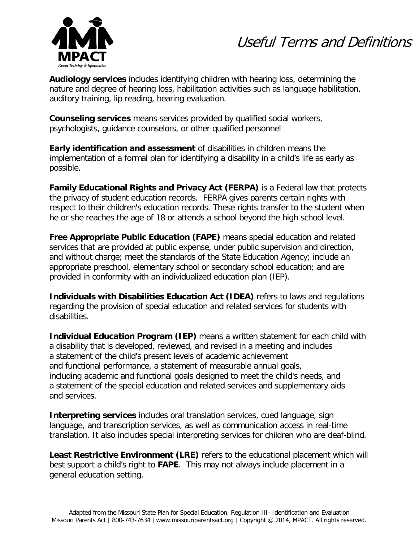



**Audiology services** includes identifying children with hearing loss, determining the nature and degree of hearing loss, habilitation activities such as language habilitation, auditory training, lip reading, hearing evaluation.

**Counseling services** means services provided by qualified social workers, psychologists, guidance counselors, or other qualified personnel

**Early identification and assessment** of disabilities in children means the implementation of a formal plan for identifying a disability in a child's life as early as possible.

**Family Educational Rights and Privacy Act (FERPA)** is a Federal law that protects the privacy of student education records. FERPA gives parents certain rights with respect to their children's education records. These rights transfer to the student when he or she reaches the age of 18 or attends a school beyond the high school level.

**Free Appropriate Public Education (FAPE)** means special education and related services that are provided at public expense, under public supervision and direction, and without charge; meet the standards of the State Education Agency; include an appropriate preschool, elementary school or secondary school education; and are provided in conformity with an individualized education plan (IEP).

**Individuals with Disabilities Education Act (IDEA)** refers to laws and regulations regarding the provision of special education and related services for students with disabilities.

**Individual Education Program (IEP)** means a written statement for each child with a disability that is developed, reviewed, and revised in a meeting and includes a statement of the child's present levels of academic achievement and functional performance, a statement of measurable annual goals, including academic and functional goals designed to meet the child's needs, and a statement of the special education and related services and supplementary aids and services.

**Interpreting services** includes oral translation services, cued language, sign language, and transcription services, as well as communication access in real-time translation. It also includes special interpreting services for children who are deaf-blind.

**Least Restrictive Environment (LRE)** refers to the educational placement which will best support a child's right to **FAPE**. This may not always include placement in a general education setting.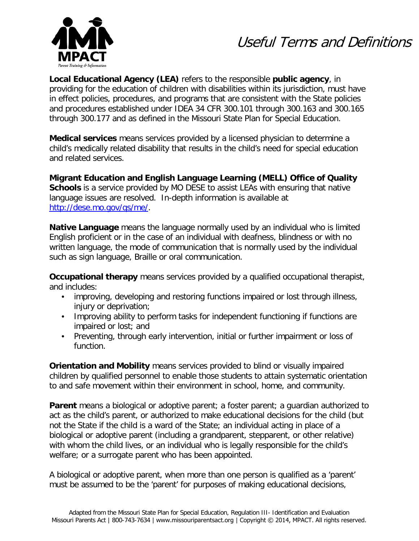



**Local Educational Agency (LEA)** refers to the responsible **public agency**, in providing for the education of children with disabilities within its jurisdiction, must have in effect policies, procedures, and programs that are consistent with the State policies and procedures established under IDEA 34 CFR 300.101 through 300.163 and 300.165 through 300.177 and as defined in the Missouri State Plan for Special Education.

**Medical services** means services provided by a licensed physician to determine a child's medically related disability that results in the child's need for special education and related services.

**Migrant Education and English Language Learning (MELL) Office of Quality Schools** is a service provided by MO DESE to assist LEAs with ensuring that native language issues are resolved. In-depth information is available at [http://dese.mo.gov/qs/me/.](http://dese.mo.gov/qs/me/)

**Native Language** means the language normally used by an individual who is limited English proficient or in the case of an individual with deafness, blindness or with no written language, the mode of communication that is normally used by the individual such as sign language, Braille or oral communication.

**Occupational therapy** means services provided by a qualified occupational therapist, and includes:

- improving, developing and restoring functions impaired or lost through illness, injury or deprivation;
- Improving ability to perform tasks for independent functioning if functions are impaired or lost; and
- Preventing, through early intervention, initial or further impairment or loss of function.

**Orientation and Mobility** means services provided to blind or visually impaired children by qualified personnel to enable those students to attain systematic orientation to and safe movement within their environment in school, home, and community.

**Parent** means a biological or adoptive parent; a foster parent; a guardian authorized to act as the child's parent, or authorized to make educational decisions for the child (but not the State if the child is a ward of the State; an individual acting in place of a biological or adoptive parent (including a grandparent, stepparent, or other relative) with whom the child lives, or an individual who is legally responsible for the child's welfare; or a surrogate parent who has been appointed.

A biological or adoptive parent, when more than one person is qualified as a 'parent' must be assumed to be the 'parent' for purposes of making educational decisions,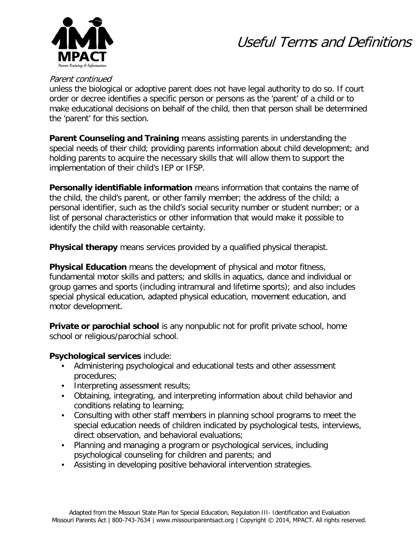

# Useful Terms and Definitions

#### Parent continued

unless the biological or adoptive parent does not have legal authority to do so. If court order or decree identifies a specific person or persons as the 'parent' of a child or to make educational decisions on behalf of the child, then that person shall be determined the 'parent' for this section.

**Parent Counseling and Training** means assisting parents in understanding the special needs of their child; providing parents information about child development; and holding parents to acquire the necessary skills that will allow them to support the implementation of their child's IEP or IFSP.

**Personally identifiable information** means information that contains the name of the child, the child's parent, or other family member; the address of the child; a personal identifier, such as the child's social security number or student number; or a list of personal characteristics or other information that would make it possible to identify the child with reasonable certainty.

**Physical therapy** means services provided by a qualified physical therapist.

**Physical Education** means the development of physical and motor fitness, fundamental motor skills and patters; and skills in aquatics, dance and individual or group games and sports (including intramural and lifetime sports); and also includes special physical education, adapted physical education, movement education, and motor development.

**Private or parochial school** is any nonpublic not for profit private school, home school or religious/parochial school.

### **Psychological services** include:

- Administering psychological and educational tests and other assessment procedures;
- Interpreting assessment results;
- Obtaining, integrating, and interpreting information about child behavior and conditions relating to learning;
- Consulting with other staff members in planning school programs to meet the special education needs of children indicated by psychological tests, interviews, direct observation, and behavioral evaluations;
- Planning and managing a program or psychological services, including psychological counseling for children and parents; and
- Assisting in developing positive behavioral intervention strategies.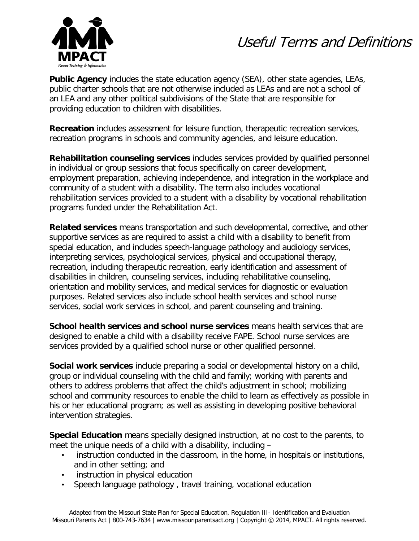# Useful Terms and Definitions



**Public Agency** includes the state education agency (SEA), other state agencies, LEAs, public charter schools that are not otherwise included as LEAs and are not a school of an LEA and any other political subdivisions of the State that are responsible for providing education to children with disabilities.

**Recreation** includes assessment for leisure function, therapeutic recreation services, recreation programs in schools and community agencies, and leisure education.

**Rehabilitation counseling services** includes services provided by qualified personnel in individual or group sessions that focus specifically on career development, employment preparation, achieving independence, and integration in the workplace and community of a student with a disability. The term also includes vocational rehabilitation services provided to a student with a disability by vocational rehabilitation programs funded under the Rehabilitation Act.

**Related services** means transportation and such developmental, corrective, and other supportive services as are required to assist a child with a disability to benefit from special education, and includes speech-language pathology and audiology services, interpreting services, psychological services, physical and occupational therapy, recreation, including therapeutic recreation, early identification and assessment of disabilities in children, counseling services, including rehabilitative counseling, orientation and mobility services, and medical services for diagnostic or evaluation purposes. Related services also include school health services and school nurse services, social work services in school, and parent counseling and training.

**School health services and school nurse services** means health services that are designed to enable a child with a disability receive FAPE. School nurse services are services provided by a qualified school nurse or other qualified personnel.

**Social work services** include preparing a social or developmental history on a child, group or individual counseling with the child and family; working with parents and others to address problems that affect the child's adjustment in school; mobilizing school and community resources to enable the child to learn as effectively as possible in his or her educational program; as well as assisting in developing positive behavioral intervention strategies.

**Special Education** means specially designed instruction, at no cost to the parents, to meet the unique needs of a child with a disability, including –

- instruction conducted in the classroom, in the home, in hospitals or institutions, and in other setting; and
- instruction in physical education
- Speech language pathology , travel training, vocational education